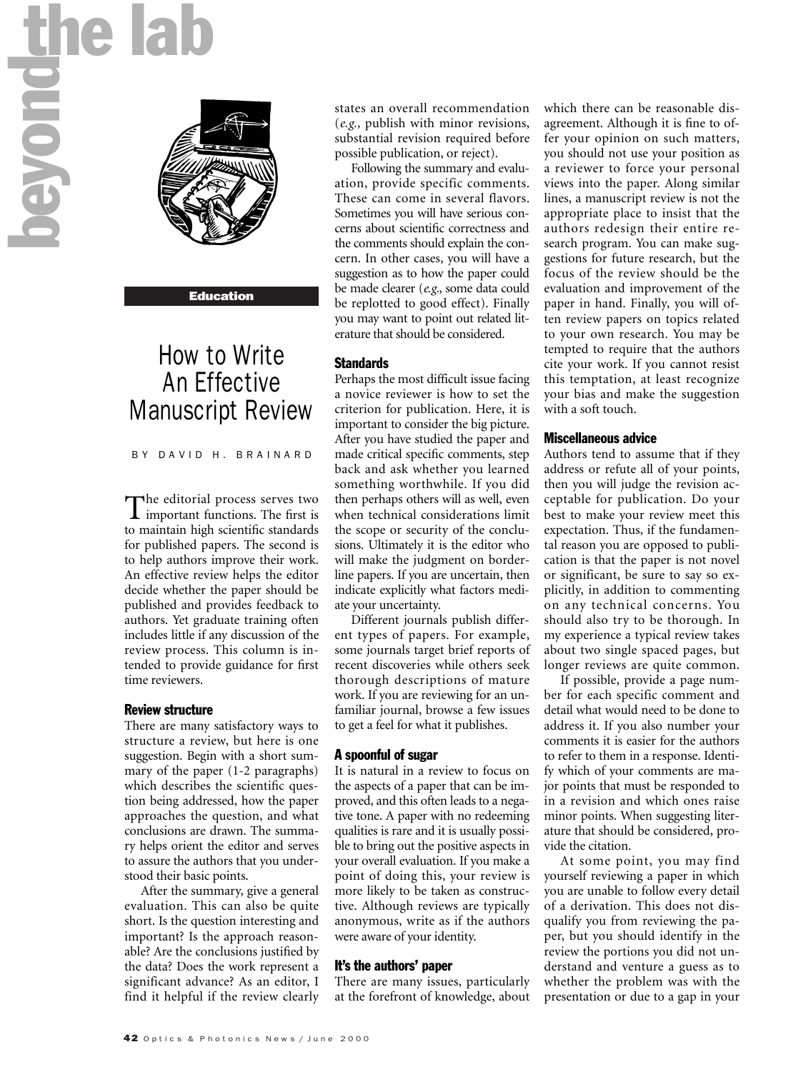

#### Education

# How to Write An Effective Manuscript Review

BY DAVID H. BRAINARD

The editorial process serves two important functions. The first is to maintain high scientific standards for published papers. The second is to help authors improve their work. An effective review helps the editor decide whether the paper should be published and provides feedback to authors. Yet graduate training often includes little if any discussion of the review process. This column is intended to provide guidance for first time reviewers.

#### Review structure

There are many satisfactory ways to structure a review, but here is one suggestion. Begin with a short summary of the paper (1-2 paragraphs) which describes the scientific question being addressed, how the paper approaches the question, and what conclusions are drawn. The summary helps orient the editor and serves to assure the authors that you understood their basic points.

After the summary, give a general evaluation. This can also be quite short. Is the question interesting and important? Is the approach reasonable? Are the conclusions justified by the data? Does the work represent a significant advance? As an editor, I find it helpful if the review clearly states an overall recommendation (*e.g.,* publish with minor revisions, substantial revision required before possible publication, or reject).

Following the summary and evaluation, provide specific comments. These can come in several flavors. Sometimes you will have serious concerns about scientific correctness and the comments should explain the concern. In other cases, you will have a suggestion as to how the paper could be made clearer (*e.g.*, some data could be replotted to good effect). Finally you may want to point out related literature that should be considered.

# **Standards**

Perhaps the most difficult issue facing a novice reviewer is how to set the criterion for publication. Here, it is important to consider the big picture. After you have studied the paper and made critical specific comments, step back and ask whether you learned something worthwhile. If you did then perhaps others will as well, even when technical considerations limit the scope or security of the conclusions. Ultimately it is the editor who will make the judgment on borderline papers. If you are uncertain, then indicate explicitly what factors mediate your uncertainty.

Different journals publish different types of papers. For example, some journals target brief reports of recent discoveries while others seek thorough descriptions of mature work. If you are reviewing for an unfamiliar journal, browse a few issues to get a feel for what it publishes.

#### A spoonful of sugar

It is natural in a review to focus on the aspects of a paper that can be improved, and this often leads to a negative tone. A paper with no redeeming qualities is rare and it is usually possible to bring out the positive aspects in your overall evaluation. If you make a point of doing this, your review is more likely to be taken as constructive. Although reviews are typically anonymous, write as if the authors were aware of your identity.

#### It's the authors' paper

There are many issues, particularly at the forefront of knowledge, about

which there can be reasonable disagreement. Although it is fine to offer your opinion on such matters, you should not use your position as a reviewer to force your personal views into the paper. Along similar lines, a manuscript review is not the appropriate place to insist that the authors redesign their entire research program. You can make suggestions for future research, but the focus of the review should be the evaluation and improvement of the paper in hand. Finally, you will often review papers on topics related to your own research. You may be tempted to require that the authors cite your work. If you cannot resist this temptation, at least recognize your bias and make the suggestion with a soft touch.

### Miscellaneous advice

Authors tend to assume that if they address or refute all of your points, then you will judge the revision acceptable for publication. Do your best to make your review meet this expectation. Thus, if the fundamental reason you are opposed to publication is that the paper is not novel or significant, be sure to say so explicitly, in addition to commenting on any technical concerns. You should also try to be thorough. In my experience a typical review takes about two single spaced pages, but longer reviews are quite common.

If possible, provide a page number for each specific comment and detail what would need to be done to address it. If you also number your comments it is easier for the authors to refer to them in a response. Identify which of your comments are major points that must be responded to in a revision and which ones raise minor points. When suggesting literature that should be considered, provide the citation.

At some point, you may find yourself reviewing a paper in which you are unable to follow every detail of a derivation. This does not disqualify you from reviewing the paper, but you should identify in the review the portions you did not understand and venture a guess as to whether the problem was with the presentation or due to a gap in your